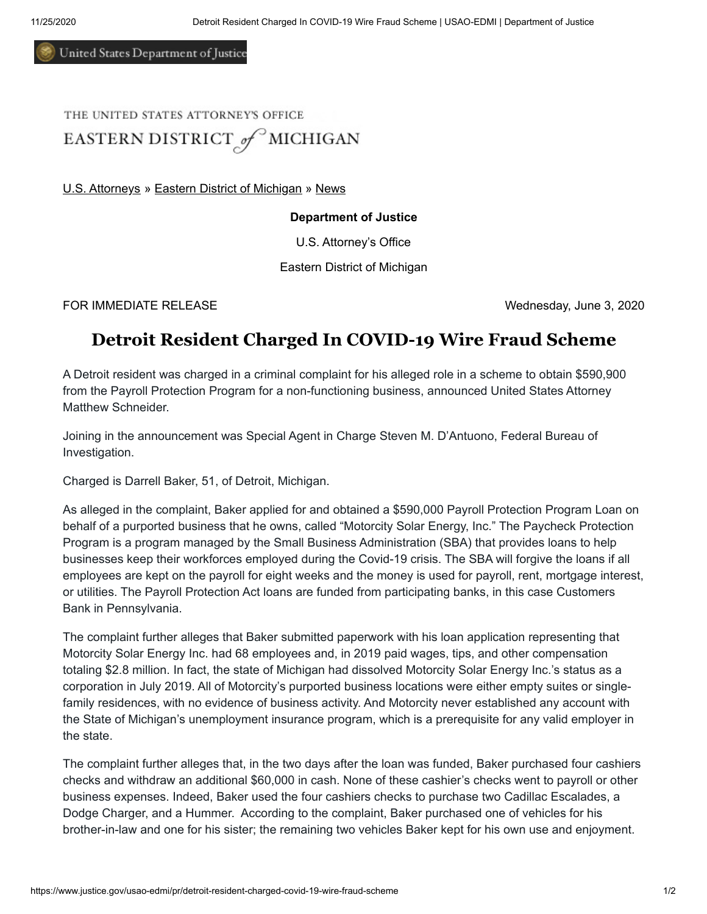United States Department of Justice

## THE UNITED STATES ATTORNEY'S OFFICE EASTERN DISTRICT of MICHIGAN

[U.S. Attorneys](https://www.justice.gov/usao) » [Eastern District of Michigan](https://www.justice.gov/usao-edmi) » [News](https://www.justice.gov/usao-edmi/pr)

## **Department of Justice**

U.S. Attorney's Office

Eastern District of Michigan

FOR IMMEDIATE RELEASE Wednesday, June 3, 2020

## **Detroit Resident Charged In COVID-19 Wire Fraud Scheme**

A Detroit resident was charged in a criminal complaint for his alleged role in a scheme to obtain \$590,900 from the Payroll Protection Program for a non-functioning business, announced United States Attorney Matthew Schneider.

Joining in the announcement was Special Agent in Charge Steven M. D'Antuono, Federal Bureau of Investigation.

Charged is Darrell Baker, 51, of Detroit, Michigan.

As alleged in the complaint, Baker applied for and obtained a \$590,000 Payroll Protection Program Loan on behalf of a purported business that he owns, called "Motorcity Solar Energy, Inc." The Paycheck Protection Program is a program managed by the Small Business Administration (SBA) that provides loans to help businesses keep their workforces employed during the Covid-19 crisis. The SBA will forgive the loans if all employees are kept on the payroll for eight weeks and the money is used for payroll, rent, mortgage interest, or utilities. The Payroll Protection Act loans are funded from participating banks, in this case Customers Bank in Pennsylvania.

The complaint further alleges that Baker submitted paperwork with his loan application representing that Motorcity Solar Energy Inc. had 68 employees and, in 2019 paid wages, tips, and other compensation totaling \$2.8 million. In fact, the state of Michigan had dissolved Motorcity Solar Energy Inc.'s status as a corporation in July 2019. All of Motorcity's purported business locations were either empty suites or singlefamily residences, with no evidence of business activity. And Motorcity never established any account with the State of Michigan's unemployment insurance program, which is a prerequisite for any valid employer in the state.

The complaint further alleges that, in the two days after the loan was funded, Baker purchased four cashiers checks and withdraw an additional \$60,000 in cash. None of these cashier's checks went to payroll or other business expenses. Indeed, Baker used the four cashiers checks to purchase two Cadillac Escalades, a Dodge Charger, and a Hummer. According to the complaint, Baker purchased one of vehicles for his brother-in-law and one for his sister; the remaining two vehicles Baker kept for his own use and enjoyment.